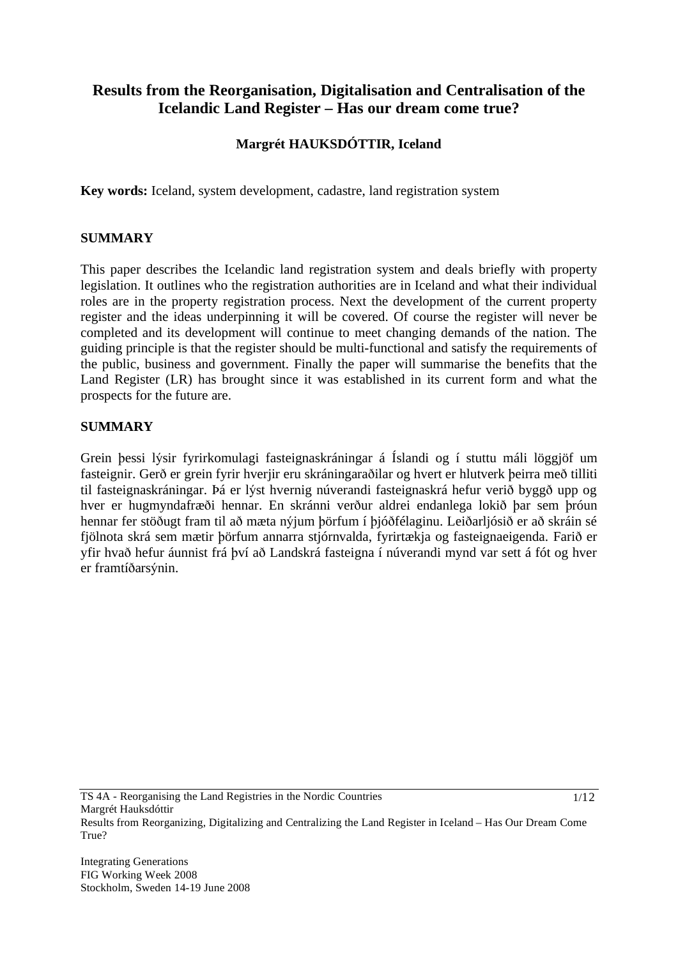# **Results from the Reorganisation, Digitalisation and Centralisation of the Icelandic Land Register – Has our dream come true?**

# **Margrét HAUKSDÓTTIR, Iceland**

**Key words:** Iceland, system development, cadastre, land registration system

## **SUMMARY**

This paper describes the Icelandic land registration system and deals briefly with property legislation. It outlines who the registration authorities are in Iceland and what their individual roles are in the property registration process. Next the development of the current property register and the ideas underpinning it will be covered. Of course the register will never be completed and its development will continue to meet changing demands of the nation. The guiding principle is that the register should be multi-functional and satisfy the requirements of the public, business and government. Finally the paper will summarise the benefits that the Land Register (LR) has brought since it was established in its current form and what the prospects for the future are.

#### **SUMMARY**

Grein þessi lýsir fyrirkomulagi fasteignaskráningar á Íslandi og í stuttu máli löggjöf um fasteignir. Gerð er grein fyrir hverjir eru skráningaraðilar og hvert er hlutverk þeirra með tilliti til fasteignaskráningar. Þá er lýst hvernig núverandi fasteignaskrá hefur verið byggð upp og hver er hugmyndafræði hennar. En skránni verður aldrei endanlega lokið þar sem þróun hennar fer stöðugt fram til að mæta nýjum þörfum í þjóðfélaginu. Leiðarljósið er að skráin sé fjölnota skrá sem mætir þörfum annarra stjórnvalda, fyrirtækja og fasteignaeigenda. Farið er yfir hvað hefur áunnist frá því að Landskrá fasteigna í núverandi mynd var sett á fót og hver er framtíðarsýnin.

1/12

Results from Reorganizing, Digitalizing and Centralizing the Land Register in Iceland – Has Our Dream Come True?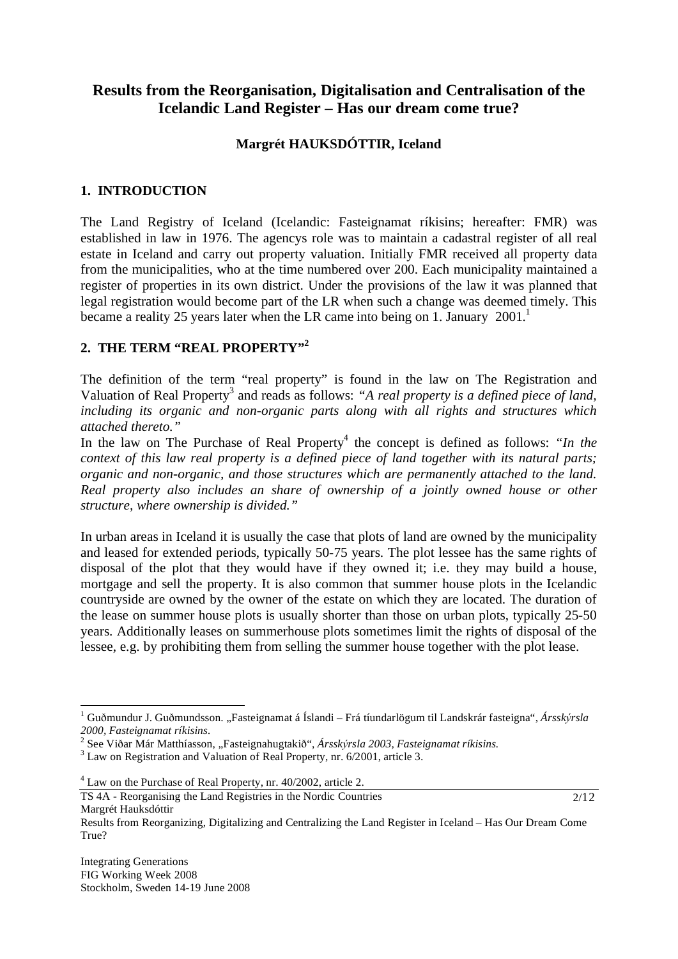# **Results from the Reorganisation, Digitalisation and Centralisation of the Icelandic Land Register – Has our dream come true?**

# **Margrét HAUKSDÓTTIR, Iceland**

# **1. INTRODUCTION**

The Land Registry of Iceland (Icelandic: Fasteignamat ríkisins; hereafter: FMR) was established in law in 1976. The agencys role was to maintain a cadastral register of all real estate in Iceland and carry out property valuation. Initially FMR received all property data from the municipalities, who at the time numbered over 200. Each municipality maintained a register of properties in its own district. Under the provisions of the law it was planned that legal registration would become part of the LR when such a change was deemed timely. This became a reality 25 years later when the LR came into being on 1. January  $2001<sup>1</sup>$ 

# 2. THE TERM "REAL PROPERTY"<sup>2</sup>

The definition of the term "real property" is found in the law on The Registration and Valuation of Real Property<sup>3</sup> and reads as follows: "A real property is a defined piece of land, *including its organic and non-organic parts along with all rights and structures which attached thereto."* 

In the law on The Purchase of Real Property<sup>4</sup> the concept is defined as follows: *"In the context of this law real property is a defined piece of land together with its natural parts; organic and non-organic, and those structures which are permanently attached to the land. Real property also includes an share of ownership of a jointly owned house or other structure, where ownership is divided."*

In urban areas in Iceland it is usually the case that plots of land are owned by the municipality and leased for extended periods, typically 50-75 years. The plot lessee has the same rights of disposal of the plot that they would have if they owned it; i.e. they may build a house, mortgage and sell the property. It is also common that summer house plots in the Icelandic countryside are owned by the owner of the estate on which they are located. The duration of the lease on summer house plots is usually shorter than those on urban plots, typically 25-50 years. Additionally leases on summerhouse plots sometimes limit the rights of disposal of the lessee, e.g. by prohibiting them from selling the summer house together with the plot lease.

TS 4A - Reorganising the Land Registries in the Nordic Countries Margrét Hauksdóttir

2/12

Integrating Generations FIG Working Week 2008 Stockholm, Sweden 14-19 June 2008

l

<sup>&</sup>lt;sup>1</sup> Guðmundur J. Guðmundsson. "Fasteignamat á Íslandi – Frá tíundarlögum til Landskrár fasteigna", Ársskýrsla *2000, Fasteignamat ríkisins.*

<sup>&</sup>lt;sup>2</sup> See Viðar Már Matthíasson, "Fasteignahugtakið", *Ársskýrsla 2003, Fasteignamat ríkisins.*<br><sup>3</sup> Levi en Besistration og d'Valuation of Boal Bronesty, nr. 6/2001, estiele 2

<sup>&</sup>lt;sup>3</sup> Law on Registration and Valuation of Real Property, nr. 6/2001, article 3.

<sup>4</sup> Law on the Purchase of Real Property, nr. 40/2002, article 2.

Results from Reorganizing, Digitalizing and Centralizing the Land Register in Iceland – Has Our Dream Come True?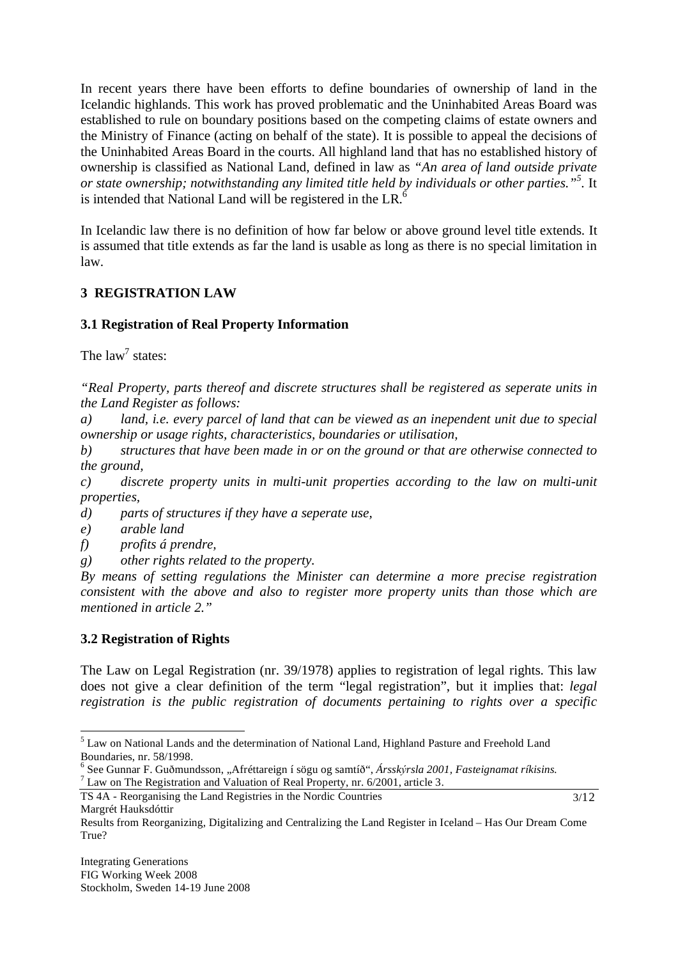In recent years there have been efforts to define boundaries of ownership of land in the Icelandic highlands. This work has proved problematic and the Uninhabited Areas Board was established to rule on boundary positions based on the competing claims of estate owners and the Ministry of Finance (acting on behalf of the state). It is possible to appeal the decisions of the Uninhabited Areas Board in the courts. All highland land that has no established history of ownership is classified as National Land, defined in law as *"An area of land outside private or state ownership; notwithstanding any limited title held by individuals or other parties."<sup>5</sup> .* It is intended that National Land will be registered in the LR. $<sup>6</sup>$ </sup>

In Icelandic law there is no definition of how far below or above ground level title extends. It is assumed that title extends as far the land is usable as long as there is no special limitation in law.

# **3 REGISTRATION LAW**

# **3.1 Registration of Real Property Information**

The  $law<sup>7</sup>$  states:

*"Real Property, parts thereof and discrete structures shall be registered as seperate units in the Land Register as follows:* 

*a) land, i.e. every parcel of land that can be viewed as an inependent unit due to special ownership or usage rights, characteristics, boundaries or utilisation,* 

*b) structures that have been made in or on the ground or that are otherwise connected to the ground,* 

*c) discrete property units in multi-unit properties according to the law on multi-unit properties,* 

- *d) parts of structures if they have a seperate use,*
- *e) arable land*
- *f) profits á prendre,*
- *g) other rights related to the property.*

*By means of setting regulations the Minister can determine a more precise registration consistent with the above and also to register more property units than those which are mentioned in article 2."* 

#### **3.2 Registration of Rights**

l

The Law on Legal Registration (nr. 39/1978) applies to registration of legal rights. This law does not give a clear definition of the term "legal registration", but it implies that: *legal registration is the public registration of documents pertaining to rights over a specific* 

 $7$  Law on The Registration and Valuation of Real Property, nr. 6/2001, article 3.

TS 4A - Reorganising the Land Registries in the Nordic Countries Margrét Hauksdóttir

3/12

 $<sup>5</sup>$  Law on National Lands and the determination of National Land, Highland Pasture and Freehold Land</sup> Boundaries, nr. 58/1998.

<sup>&</sup>lt;sup>6</sup> See Gunnar F. Guðmundsson, "Afréttareign í sögu og samtíð", *Ársskýrsla 2001, Fasteignamat ríkisins.*<br>7 Lew en The Besistration and Velustion of Besl Bronerty, nr. 6/2001, ertiele <sup>2</sup>

Results from Reorganizing, Digitalizing and Centralizing the Land Register in Iceland – Has Our Dream Come True?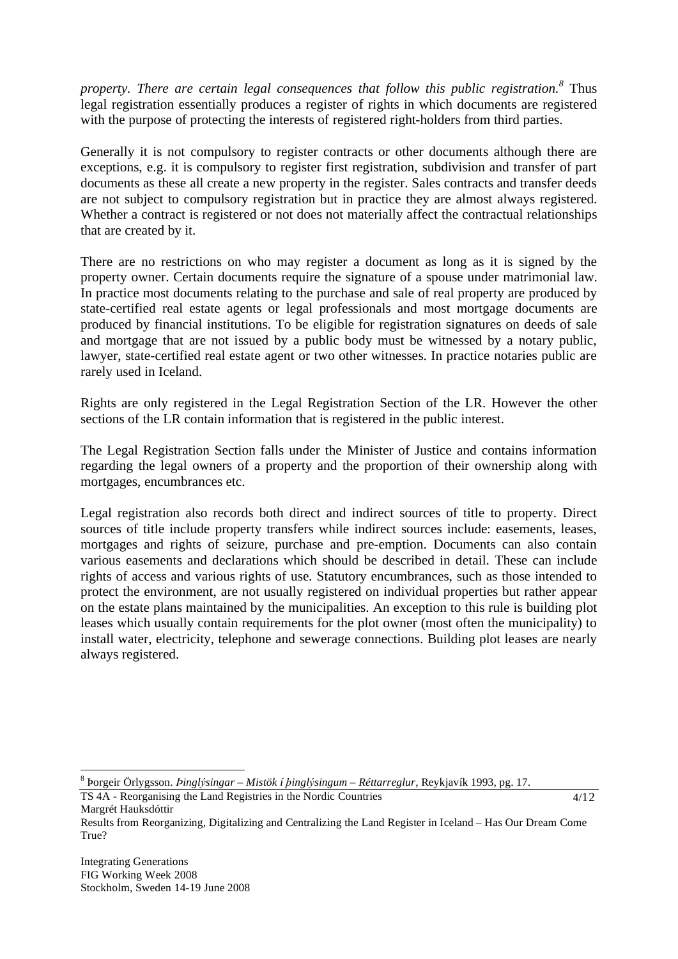*property. There are certain legal consequences that follow this public registration.<sup>8</sup>* Thus legal registration essentially produces a register of rights in which documents are registered with the purpose of protecting the interests of registered right-holders from third parties.

Generally it is not compulsory to register contracts or other documents although there are exceptions, e.g. it is compulsory to register first registration, subdivision and transfer of part documents as these all create a new property in the register. Sales contracts and transfer deeds are not subject to compulsory registration but in practice they are almost always registered. Whether a contract is registered or not does not materially affect the contractual relationships that are created by it.

There are no restrictions on who may register a document as long as it is signed by the property owner. Certain documents require the signature of a spouse under matrimonial law. In practice most documents relating to the purchase and sale of real property are produced by state-certified real estate agents or legal professionals and most mortgage documents are produced by financial institutions. To be eligible for registration signatures on deeds of sale and mortgage that are not issued by a public body must be witnessed by a notary public, lawyer, state-certified real estate agent or two other witnesses. In practice notaries public are rarely used in Iceland.

Rights are only registered in the Legal Registration Section of the LR. However the other sections of the LR contain information that is registered in the public interest.

The Legal Registration Section falls under the Minister of Justice and contains information regarding the legal owners of a property and the proportion of their ownership along with mortgages, encumbrances etc.

Legal registration also records both direct and indirect sources of title to property. Direct sources of title include property transfers while indirect sources include: easements, leases, mortgages and rights of seizure, purchase and pre-emption. Documents can also contain various easements and declarations which should be described in detail. These can include rights of access and various rights of use. Statutory encumbrances, such as those intended to protect the environment, are not usually registered on individual properties but rather appear on the estate plans maintained by the municipalities. An exception to this rule is building plot leases which usually contain requirements for the plot owner (most often the municipality) to install water, electricity, telephone and sewerage connections. Building plot leases are nearly always registered.

<sup>8</sup> orgeir Örlygsson. *inglsingar* – *Mistök í inglsingum – Réttarreglur*, Reykjavík 1993, pg. 17.

TS 4A - Reorganising the Land Registries in the Nordic Countries Margrét Hauksdóttir

 $4/12$ 

 $\overline{a}$ 

Results from Reorganizing, Digitalizing and Centralizing the Land Register in Iceland – Has Our Dream Come True?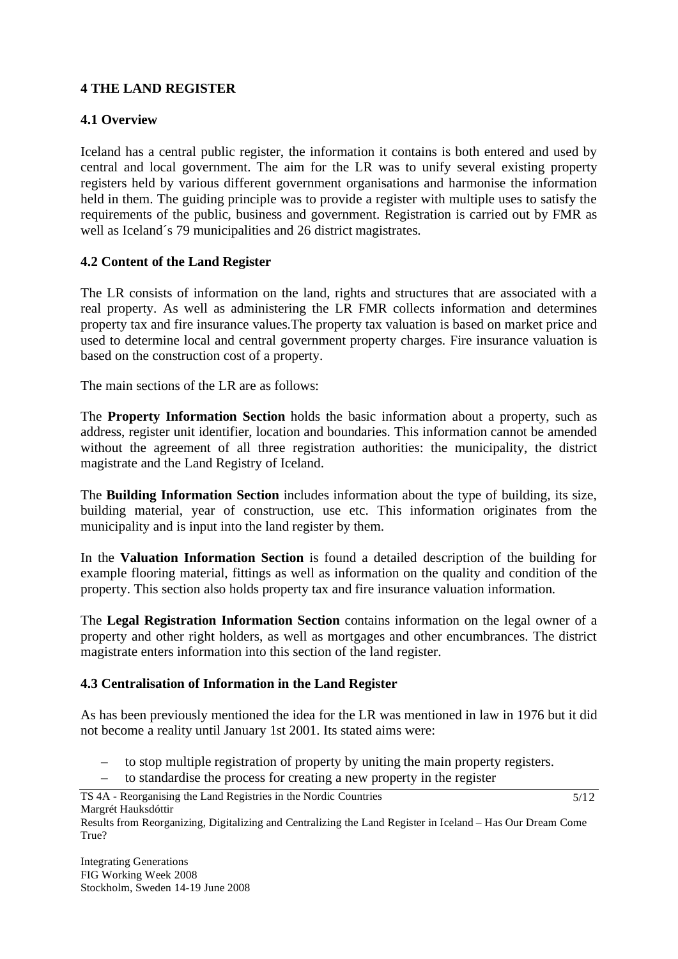# **4 THE LAND REGISTER**

# **4.1 Overview**

Iceland has a central public register, the information it contains is both entered and used by central and local government. The aim for the LR was to unify several existing property registers held by various different government organisations and harmonise the information held in them. The guiding principle was to provide a register with multiple uses to satisfy the requirements of the public, business and government. Registration is carried out by FMR as well as Iceland´s 79 municipalities and 26 district magistrates.

# **4.2 Content of the Land Register**

The LR consists of information on the land, rights and structures that are associated with a real property. As well as administering the LR FMR collects information and determines property tax and fire insurance values.The property tax valuation is based on market price and used to determine local and central government property charges. Fire insurance valuation is based on the construction cost of a property.

The main sections of the LR are as follows:

The **Property Information Section** holds the basic information about a property, such as address, register unit identifier, location and boundaries. This information cannot be amended without the agreement of all three registration authorities: the municipality, the district magistrate and the Land Registry of Iceland.

The **Building Information Section** includes information about the type of building, its size, building material, year of construction, use etc. This information originates from the municipality and is input into the land register by them.

In the **Valuation Information Section** is found a detailed description of the building for example flooring material, fittings as well as information on the quality and condition of the property. This section also holds property tax and fire insurance valuation information.

The **Legal Registration Information Section** contains information on the legal owner of a property and other right holders, as well as mortgages and other encumbrances. The district magistrate enters information into this section of the land register.

# **4.3 Centralisation of Information in the Land Register**

As has been previously mentioned the idea for the LR was mentioned in law in 1976 but it did not become a reality until January 1st 2001. Its stated aims were:

- to stop multiple registration of property by uniting the main property registers.
- to standardise the process for creating a new property in the register
- TS 4A Reorganising the Land Registries in the Nordic Countries Margrét Hauksdóttir

Results from Reorganizing, Digitalizing and Centralizing the Land Register in Iceland – Has Our Dream Come True?

5/12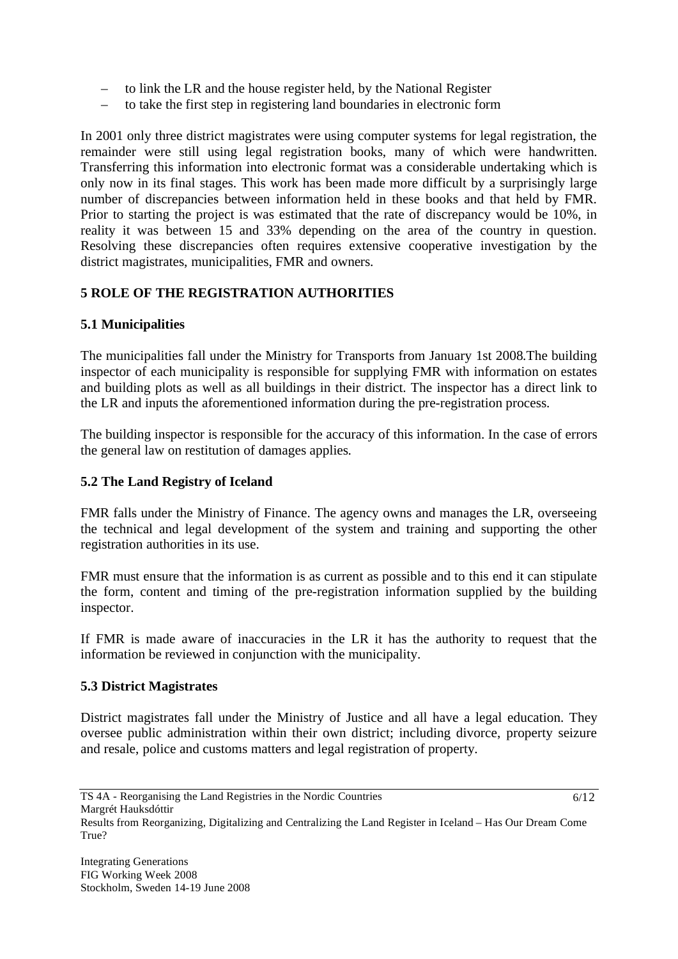- to link the LR and the house register held, by the National Register
- to take the first step in registering land boundaries in electronic form

In 2001 only three district magistrates were using computer systems for legal registration, the remainder were still using legal registration books, many of which were handwritten. Transferring this information into electronic format was a considerable undertaking which is only now in its final stages. This work has been made more difficult by a surprisingly large number of discrepancies between information held in these books and that held by FMR. Prior to starting the project is was estimated that the rate of discrepancy would be 10%, in reality it was between 15 and 33% depending on the area of the country in question. Resolving these discrepancies often requires extensive cooperative investigation by the district magistrates, municipalities, FMR and owners.

# **5 ROLE OF THE REGISTRATION AUTHORITIES**

#### **5.1 Municipalities**

The municipalities fall under the Ministry for Transports from January 1st 2008.The building inspector of each municipality is responsible for supplying FMR with information on estates and building plots as well as all buildings in their district. The inspector has a direct link to the LR and inputs the aforementioned information during the pre-registration process.

The building inspector is responsible for the accuracy of this information. In the case of errors the general law on restitution of damages applies.

#### **5.2 The Land Registry of Iceland**

FMR falls under the Ministry of Finance. The agency owns and manages the LR, overseeing the technical and legal development of the system and training and supporting the other registration authorities in its use.

FMR must ensure that the information is as current as possible and to this end it can stipulate the form, content and timing of the pre-registration information supplied by the building inspector.

If FMR is made aware of inaccuracies in the LR it has the authority to request that the information be reviewed in conjunction with the municipality.

#### **5.3 District Magistrates**

District magistrates fall under the Ministry of Justice and all have a legal education. They oversee public administration within their own district; including divorce, property seizure and resale, police and customs matters and legal registration of property.

 $6/12$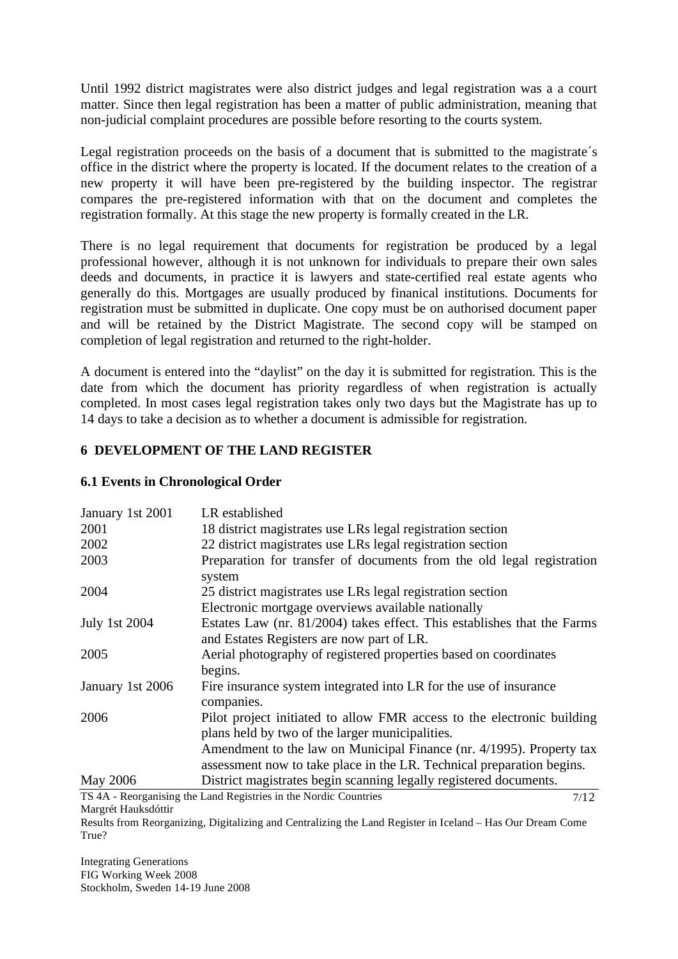Until 1992 district magistrates were also district judges and legal registration was a a court matter. Since then legal registration has been a matter of public administration, meaning that non-judicial complaint procedures are possible before resorting to the courts system.

Legal registration proceeds on the basis of a document that is submitted to the magistrate´s office in the district where the property is located. If the document relates to the creation of a new property it will have been pre-registered by the building inspector. The registrar compares the pre-registered information with that on the document and completes the registration formally. At this stage the new property is formally created in the LR.

There is no legal requirement that documents for registration be produced by a legal professional however, although it is not unknown for individuals to prepare their own sales deeds and documents, in practice it is lawyers and state-certified real estate agents who generally do this. Mortgages are usually produced by finanical institutions. Documents for registration must be submitted in duplicate. One copy must be on authorised document paper and will be retained by the District Magistrate. The second copy will be stamped on completion of legal registration and returned to the right-holder.

A document is entered into the "daylist" on the day it is submitted for registration. This is the date from which the document has priority regardless of when registration is actually completed. In most cases legal registration takes only two days but the Magistrate has up to 14 days to take a decision as to whether a document is admissible for registration.

# **6 DEVELOPMENT OF THE LAND REGISTER**

## **6.1 Events in Chronological Order**

| January 1st 2001     | LR established                                                                      |
|----------------------|-------------------------------------------------------------------------------------|
| 2001                 | 18 district magistrates use LRs legal registration section                          |
| 2002                 | 22 district magistrates use LRs legal registration section                          |
| 2003                 | Preparation for transfer of documents from the old legal registration<br>system     |
| 2004                 | 25 district magistrates use LRs legal registration section                          |
|                      | Electronic mortgage overviews available nationally                                  |
| <b>July 1st 2004</b> | Estates Law (nr. 81/2004) takes effect. This establishes that the Farms             |
|                      | and Estates Registers are now part of LR.                                           |
| 2005                 | Aerial photography of registered properties based on coordinates                    |
|                      | begins.                                                                             |
| January 1st 2006     | Fire insurance system integrated into LR for the use of insurance<br>companies.     |
| 2006                 | Pilot project initiated to allow FMR access to the electronic building              |
|                      | plans held by two of the larger municipalities.                                     |
|                      | Amendment to the law on Municipal Finance (nr. 4/1995). Property tax                |
|                      | assessment now to take place in the LR. Technical preparation begins.               |
| <b>May 2006</b>      | District magistrates begin scanning legally registered documents.                   |
|                      | $TX \land A$ - Reprogationaries the Land Registries in the Nordic Countries<br>7/12 |

TS 4A - Reorganising the Land Registries in the Nordic Countries Margrét Hauksdóttir 7/12

Results from Reorganizing, Digitalizing and Centralizing the Land Register in Iceland – Has Our Dream Come True?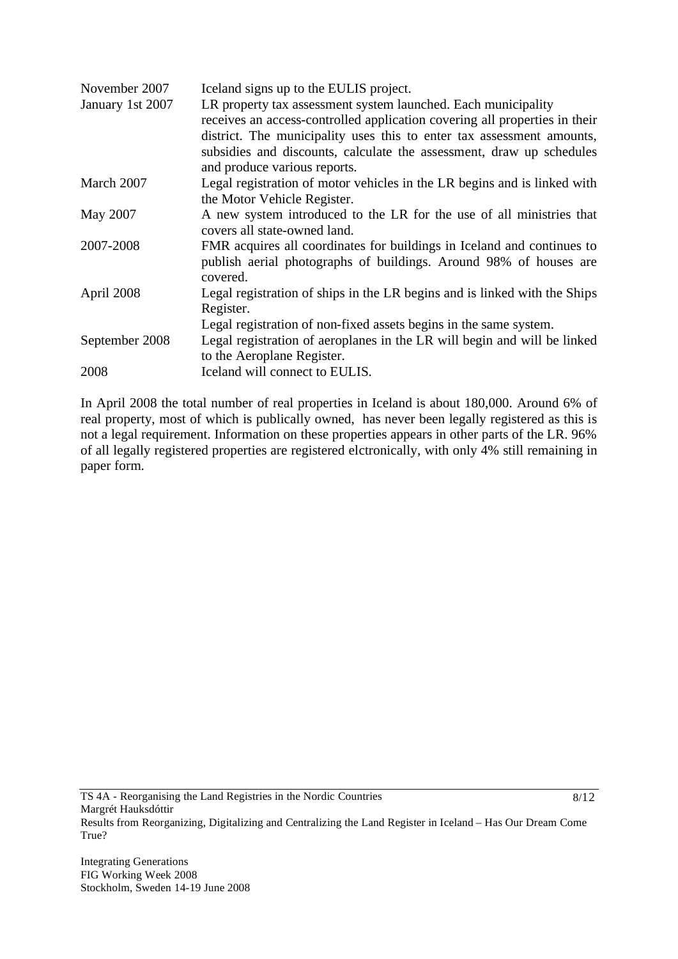| November 2007    | Iceland signs up to the EULIS project.                                     |
|------------------|----------------------------------------------------------------------------|
| January 1st 2007 | LR property tax assessment system launched. Each municipality              |
|                  | receives an access-controlled application covering all properties in their |
|                  | district. The municipality uses this to enter tax assessment amounts,      |
|                  | subsidies and discounts, calculate the assessment, draw up schedules       |
|                  | and produce various reports.                                               |
| March 2007       | Legal registration of motor vehicles in the LR begins and is linked with   |
|                  | the Motor Vehicle Register.                                                |
| May 2007         | A new system introduced to the LR for the use of all ministries that       |
|                  | covers all state-owned land.                                               |
| 2007-2008        | FMR acquires all coordinates for buildings in Iceland and continues to     |
|                  | publish aerial photographs of buildings. Around 98% of houses are          |
|                  | covered.                                                                   |
| April 2008       | Legal registration of ships in the LR begins and is linked with the Ships  |
|                  | Register.                                                                  |
|                  | Legal registration of non-fixed assets begins in the same system.          |
| September 2008   | Legal registration of aeroplanes in the LR will begin and will be linked   |
|                  | to the Aeroplane Register.                                                 |
| 2008             | Iceland will connect to EULIS.                                             |

In April 2008 the total number of real properties in Iceland is about 180,000. Around 6% of real property, most of which is publically owned, has never been legally registered as this is not a legal requirement. Information on these properties appears in other parts of the LR. 96% of all legally registered properties are registered elctronically, with only 4% still remaining in paper form.

Results from Reorganizing, Digitalizing and Centralizing the Land Register in Iceland – Has Our Dream Come True?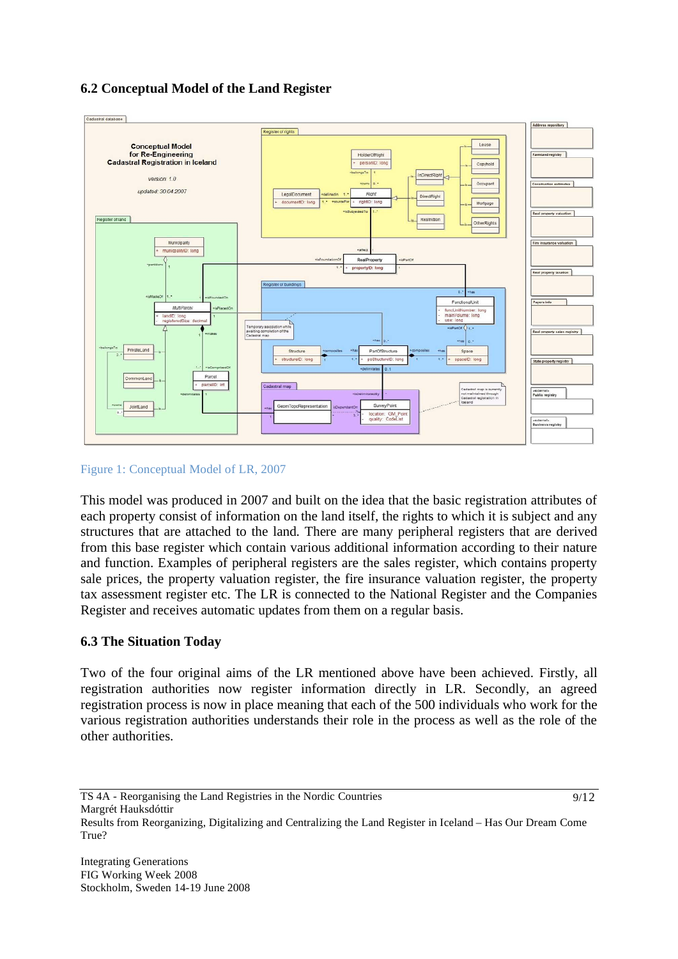# **6.2 Conceptual Model of the Land Register**



Figure 1: Conceptual Model of LR, 2007

This model was produced in 2007 and built on the idea that the basic registration attributes of each property consist of information on the land itself, the rights to which it is subject and any structures that are attached to the land. There are many peripheral registers that are derived from this base register which contain various additional information according to their nature and function. Examples of peripheral registers are the sales register, which contains property sale prices, the property valuation register, the fire insurance valuation register, the property tax assessment register etc. The LR is connected to the National Register and the Companies Register and receives automatic updates from them on a regular basis.

# **6.3 The Situation Today**

Two of the four original aims of the LR mentioned above have been achieved. Firstly, all registration authorities now register information directly in LR. Secondly, an agreed registration process is now in place meaning that each of the 500 individuals who work for the various registration authorities understands their role in the process as well as the role of the other authorities.

 $9/12$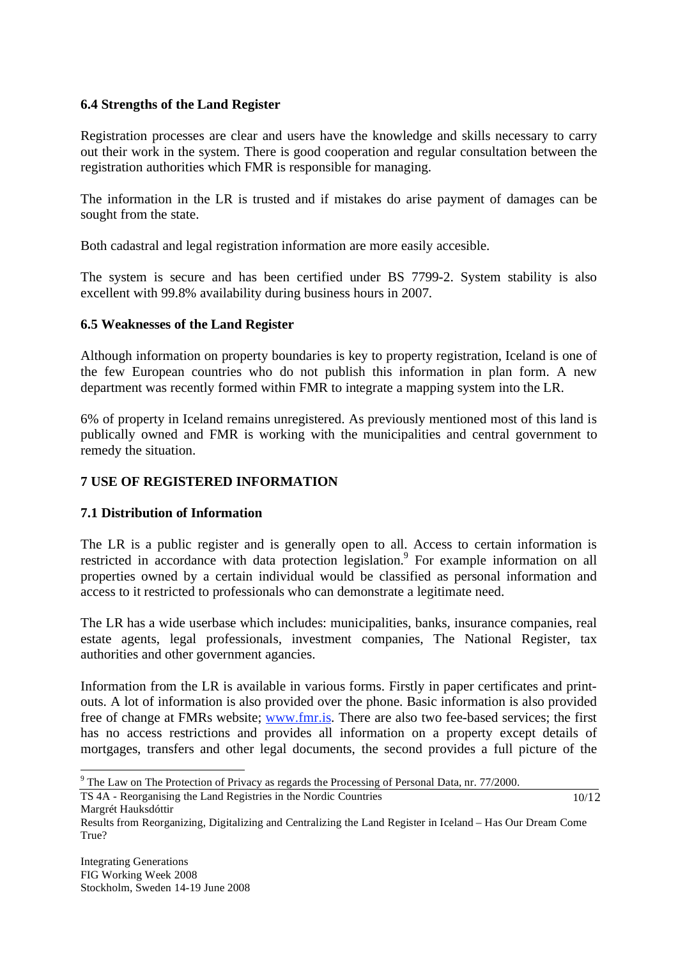## **6.4 Strengths of the Land Register**

Registration processes are clear and users have the knowledge and skills necessary to carry out their work in the system. There is good cooperation and regular consultation between the registration authorities which FMR is responsible for managing.

The information in the LR is trusted and if mistakes do arise payment of damages can be sought from the state.

Both cadastral and legal registration information are more easily accesible.

The system is secure and has been certified under BS 7799-2. System stability is also excellent with 99.8% availability during business hours in 2007.

## **6.5 Weaknesses of the Land Register**

Although information on property boundaries is key to property registration, Iceland is one of the few European countries who do not publish this information in plan form. A new department was recently formed within FMR to integrate a mapping system into the LR.

6% of property in Iceland remains unregistered. As previously mentioned most of this land is publically owned and FMR is working with the municipalities and central government to remedy the situation.

# **7 USE OF REGISTERED INFORMATION**

# **7.1 Distribution of Information**

The LR is a public register and is generally open to all. Access to certain information is restricted in accordance with data protection legislation.<sup>9</sup> For example information on all properties owned by a certain individual would be classified as personal information and access to it restricted to professionals who can demonstrate a legitimate need.

The LR has a wide userbase which includes: municipalities, banks, insurance companies, real estate agents, legal professionals, investment companies, The National Register, tax authorities and other government agancies.

Information from the LR is available in various forms. Firstly in paper certificates and printouts. A lot of information is also provided over the phone. Basic information is also provided free of change at FMRs website; www.fmr.is. There are also two fee-based services; the first has no access restrictions and provides all information on a property except details of mortgages, transfers and other legal documents, the second provides a full picture of the

TS 4A - Reorganising the Land Registries in the Nordic Countries Margrét Hauksdóttir

10/12

 $\overline{a}$ 

 $9$  The Law on The Protection of Privacy as regards the Processing of Personal Data, nr. 77/2000.

Results from Reorganizing, Digitalizing and Centralizing the Land Register in Iceland – Has Our Dream Come True?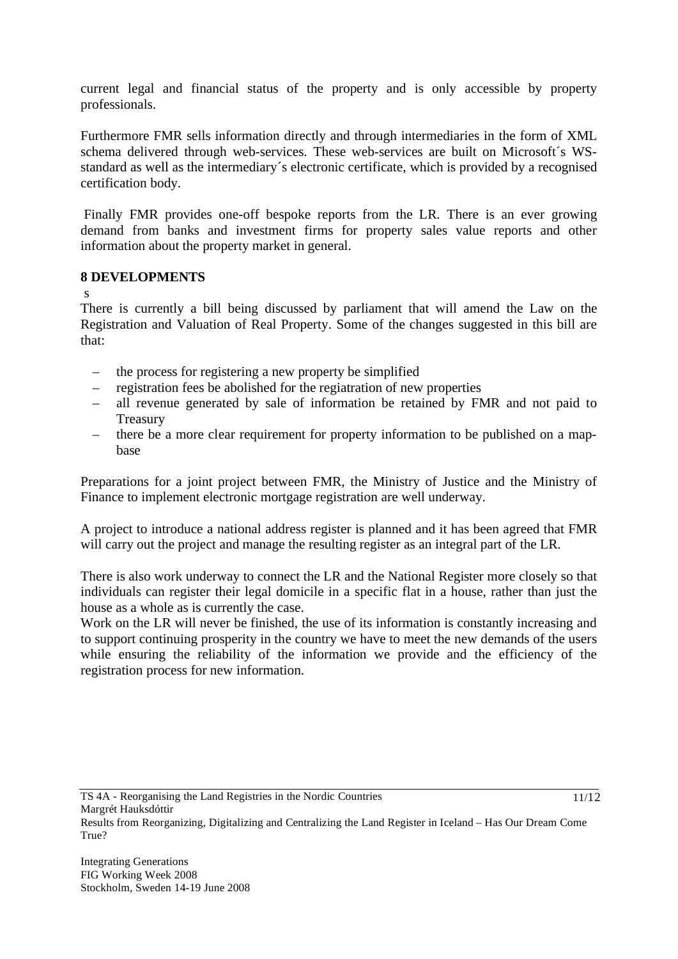current legal and financial status of the property and is only accessible by property professionals.

Furthermore FMR sells information directly and through intermediaries in the form of XML schema delivered through web-services. These web-services are built on Microsoft´s WSstandard as well as the intermediary´s electronic certificate, which is provided by a recognised certification body.

 Finally FMR provides one-off bespoke reports from the LR. There is an ever growing demand from banks and investment firms for property sales value reports and other information about the property market in general.

## **8 DEVELOPMENTS**

s

There is currently a bill being discussed by parliament that will amend the Law on the Registration and Valuation of Real Property. Some of the changes suggested in this bill are that:

- the process for registering a new property be simplified
- registration fees be abolished for the regiatration of new properties
- all revenue generated by sale of information be retained by FMR and not paid to Treasury
- there be a more clear requirement for property information to be published on a mapbase

Preparations for a joint project between FMR, the Ministry of Justice and the Ministry of Finance to implement electronic mortgage registration are well underway.

A project to introduce a national address register is planned and it has been agreed that FMR will carry out the project and manage the resulting register as an integral part of the LR.

There is also work underway to connect the LR and the National Register more closely so that individuals can register their legal domicile in a specific flat in a house, rather than just the house as a whole as is currently the case.

Work on the LR will never be finished, the use of its information is constantly increasing and to support continuing prosperity in the country we have to meet the new demands of the users while ensuring the reliability of the information we provide and the efficiency of the registration process for new information.

11/12

Results from Reorganizing, Digitalizing and Centralizing the Land Register in Iceland – Has Our Dream Come True?